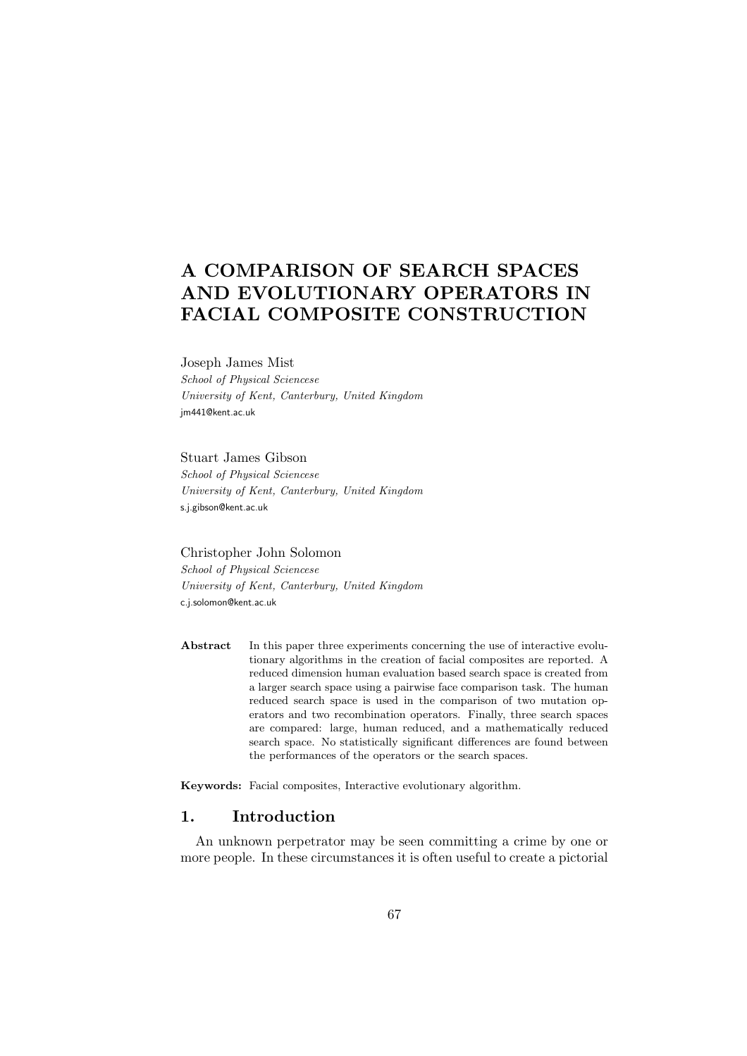# A COMPARISON OF SEARCH SPACES AND EVOLUTIONARY OPERATORS IN FACIAL COMPOSITE CONSTRUCTION

#### Joseph James Mist

School of Physical Sciencese University of Kent, Canterbury, United Kingdom jm441@kent.ac.uk

#### Stuart James Gibson

School of Physical Sciencese University of Kent, Canterbury, United Kingdom s.j.gibson@kent.ac.uk

Christopher John Solomon School of Physical Sciencese University of Kent, Canterbury, United Kingdom c.j.solomon@kent.ac.uk

Abstract In this paper three experiments concerning the use of interactive evolutionary algorithms in the creation of facial composites are reported. A reduced dimension human evaluation based search space is created from a larger search space using a pairwise face comparison task. The human reduced search space is used in the comparison of two mutation operators and two recombination operators. Finally, three search spaces are compared: large, human reduced, and a mathematically reduced search space. No statistically significant differences are found between the performances of the operators or the search spaces.

Keywords: Facial composites, Interactive evolutionary algorithm.

# 1. Introduction

An unknown perpetrator may be seen committing a crime by one or more people. In these circumstances it is often useful to create a pictorial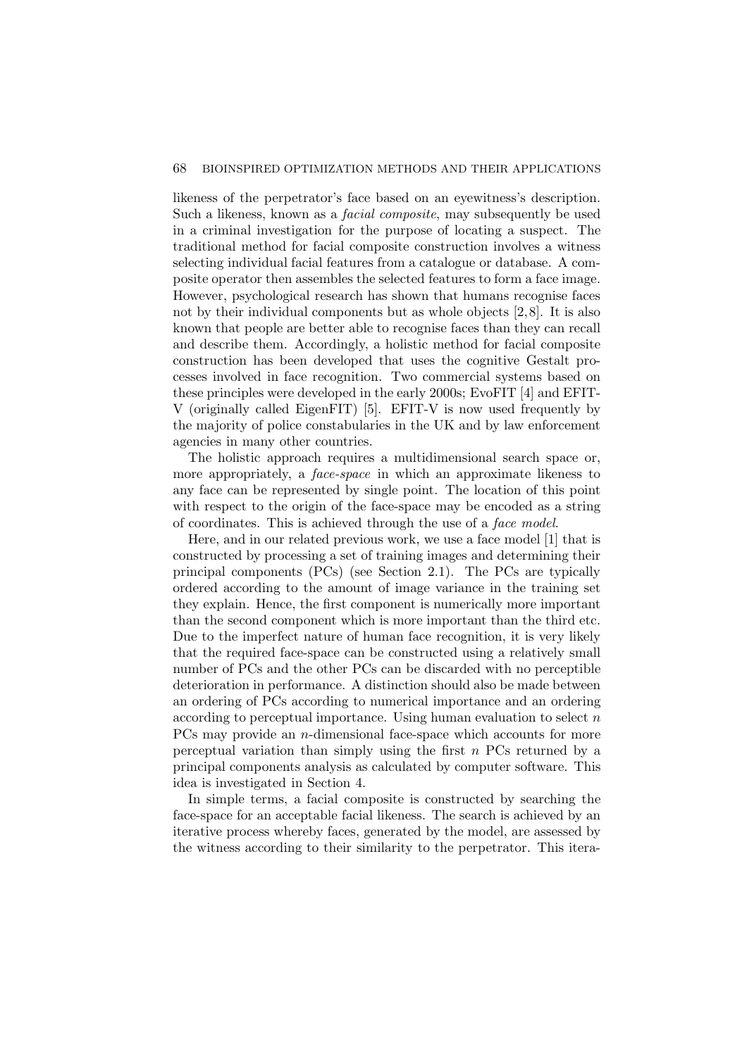likeness of the perpetrator's face based on an eyewitness's description. Such a likeness, known as a facial composite, may subsequently be used in a criminal investigation for the purpose of locating a suspect. The traditional method for facial composite construction involves a witness selecting individual facial features from a catalogue or database. A composite operator then assembles the selected features to form a face image. However, psychological research has shown that humans recognise faces not by their individual components but as whole objects [2, 8]. It is also known that people are better able to recognise faces than they can recall and describe them. Accordingly, a holistic method for facial composite construction has been developed that uses the cognitive Gestalt processes involved in face recognition. Two commercial systems based on these principles were developed in the early 2000s; EvoFIT [4] and EFIT-V (originally called EigenFIT) [5]. EFIT-V is now used frequently by the majority of police constabularies in the UK and by law enforcement agencies in many other countries.

The holistic approach requires a multidimensional search space or, more appropriately, a face-space in which an approximate likeness to any face can be represented by single point. The location of this point with respect to the origin of the face-space may be encoded as a string of coordinates. This is achieved through the use of a face model.

Here, and in our related previous work, we use a face model [1] that is constructed by processing a set of training images and determining their principal components (PCs) (see Section 2.1). The PCs are typically ordered according to the amount of image variance in the training set they explain. Hence, the first component is numerically more important than the second component which is more important than the third etc. Due to the imperfect nature of human face recognition, it is very likely that the required face-space can be constructed using a relatively small number of PCs and the other PCs can be discarded with no perceptible deterioration in performance. A distinction should also be made between an ordering of PCs according to numerical importance and an ordering according to perceptual importance. Using human evaluation to select  $n$ PCs may provide an *n*-dimensional face-space which accounts for more perceptual variation than simply using the first  $n$  PCs returned by a principal components analysis as calculated by computer software. This idea is investigated in Section 4.

In simple terms, a facial composite is constructed by searching the face-space for an acceptable facial likeness. The search is achieved by an iterative process whereby faces, generated by the model, are assessed by the witness according to their similarity to the perpetrator. This itera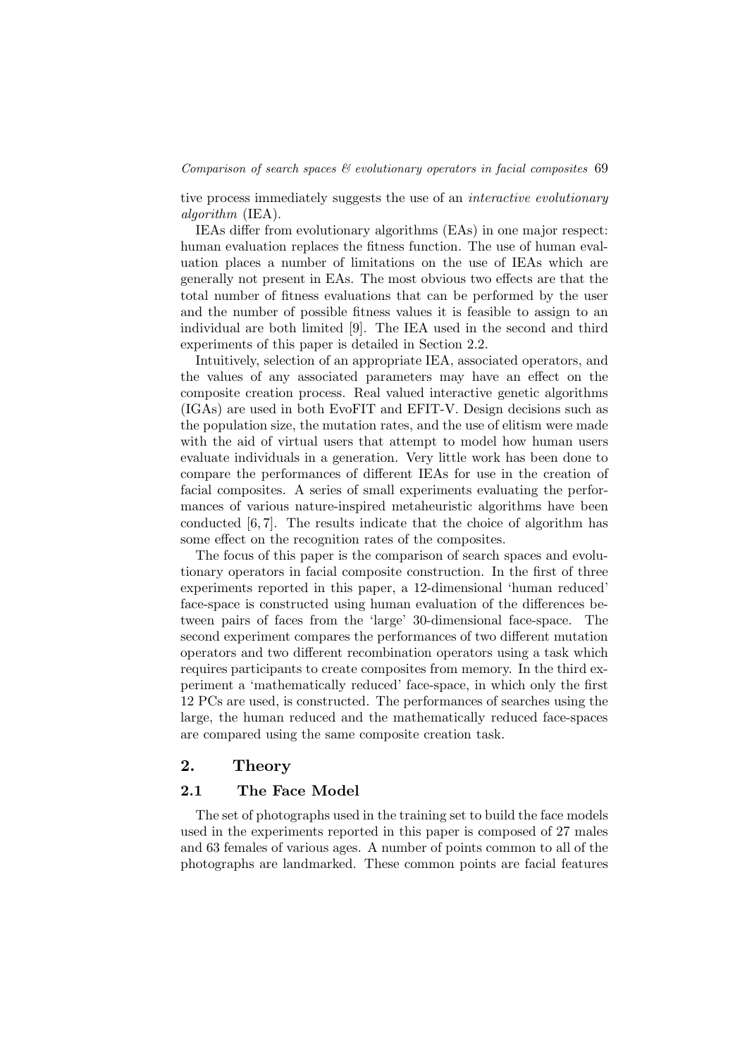tive process immediately suggests the use of an interactive evolutionary algorithm (IEA).

IEAs differ from evolutionary algorithms (EAs) in one major respect: human evaluation replaces the fitness function. The use of human evaluation places a number of limitations on the use of IEAs which are generally not present in EAs. The most obvious two effects are that the total number of fitness evaluations that can be performed by the user and the number of possible fitness values it is feasible to assign to an individual are both limited [9]. The IEA used in the second and third experiments of this paper is detailed in Section 2.2.

Intuitively, selection of an appropriate IEA, associated operators, and the values of any associated parameters may have an effect on the composite creation process. Real valued interactive genetic algorithms (IGAs) are used in both EvoFIT and EFIT-V. Design decisions such as the population size, the mutation rates, and the use of elitism were made with the aid of virtual users that attempt to model how human users evaluate individuals in a generation. Very little work has been done to compare the performances of different IEAs for use in the creation of facial composites. A series of small experiments evaluating the performances of various nature-inspired metaheuristic algorithms have been conducted [6, 7]. The results indicate that the choice of algorithm has some effect on the recognition rates of the composites.

The focus of this paper is the comparison of search spaces and evolutionary operators in facial composite construction. In the first of three experiments reported in this paper, a 12-dimensional 'human reduced' face-space is constructed using human evaluation of the differences between pairs of faces from the 'large' 30-dimensional face-space. The second experiment compares the performances of two different mutation operators and two different recombination operators using a task which requires participants to create composites from memory. In the third experiment a 'mathematically reduced' face-space, in which only the first 12 PCs are used, is constructed. The performances of searches using the large, the human reduced and the mathematically reduced face-spaces are compared using the same composite creation task.

# 2. Theory

## 2.1 The Face Model

The set of photographs used in the training set to build the face models used in the experiments reported in this paper is composed of 27 males and 63 females of various ages. A number of points common to all of the photographs are landmarked. These common points are facial features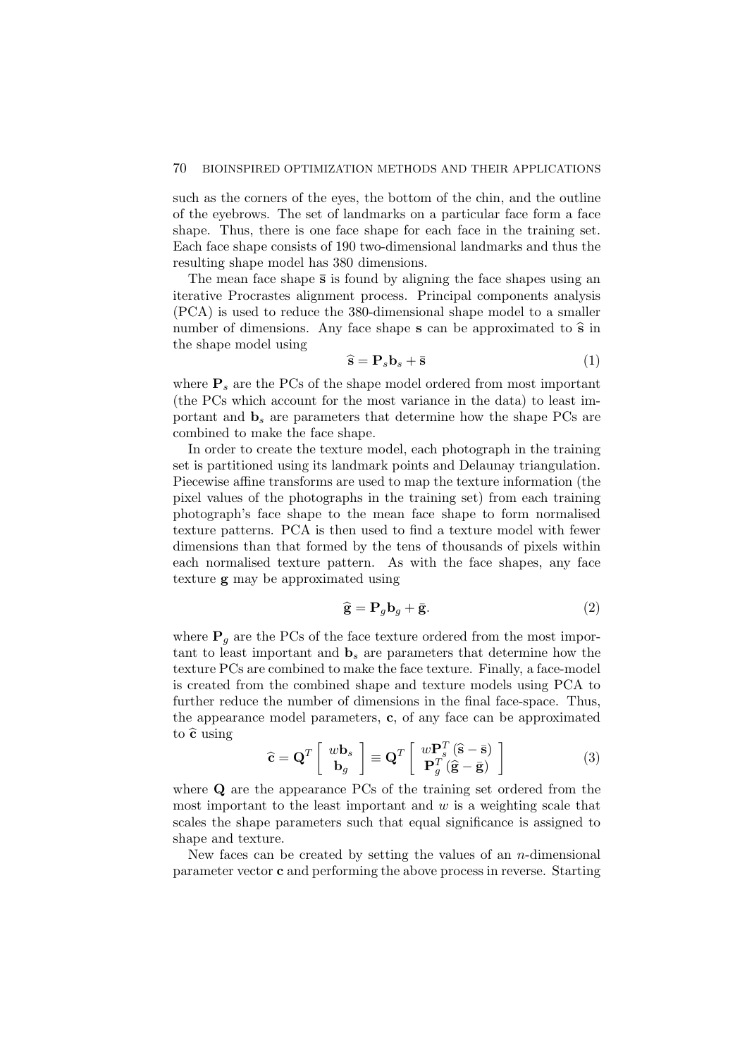such as the corners of the eyes, the bottom of the chin, and the outline of the eyebrows. The set of landmarks on a particular face form a face shape. Thus, there is one face shape for each face in the training set. Each face shape consists of 190 two-dimensional landmarks and thus the resulting shape model has 380 dimensions.

The mean face shape  $\bar{s}$  is found by aligning the face shapes using an iterative Procrastes alignment process. Principal components analysis (PCA) is used to reduce the 380-dimensional shape model to a smaller number of dimensions. Any face shape  $s$  can be approximated to  $\hat{s}$  in the shape model using

$$
\hat{\mathbf{s}} = \mathbf{P}_s \mathbf{b}_s + \bar{\mathbf{s}} \tag{1}
$$

where  $P_s$  are the PCs of the shape model ordered from most important (the PCs which account for the most variance in the data) to least important and  $\mathbf{b}_s$  are parameters that determine how the shape PCs are combined to make the face shape.

In order to create the texture model, each photograph in the training set is partitioned using its landmark points and Delaunay triangulation. Piecewise affine transforms are used to map the texture information (the pixel values of the photographs in the training set) from each training photograph's face shape to the mean face shape to form normalised texture patterns. PCA is then used to find a texture model with fewer dimensions than that formed by the tens of thousands of pixels within each normalised texture pattern. As with the face shapes, any face texture g may be approximated using

$$
\hat{\mathbf{g}} = \mathbf{P}_g \mathbf{b}_g + \bar{\mathbf{g}}.\tag{2}
$$

where  $P_q$  are the PCs of the face texture ordered from the most important to least important and  $\mathbf{b}_s$  are parameters that determine how the texture PCs are combined to make the face texture. Finally, a face-model is created from the combined shape and texture models using PCA to further reduce the number of dimensions in the final face-space. Thus, the appearance model parameters, c, of any face can be approximated to  $\hat{\mathbf{c}}$  using

$$
\widehat{\mathbf{c}} = \mathbf{Q}^T \begin{bmatrix} w\mathbf{b}_s \\ \mathbf{b}_g \end{bmatrix} \equiv \mathbf{Q}^T \begin{bmatrix} w\mathbf{P}_s^T (\widehat{\mathbf{s}} - \bar{\mathbf{s}}) \\ \mathbf{P}_g^T (\widehat{\mathbf{g}} - \bar{\mathbf{g}}) \end{bmatrix}
$$
(3)

where Q are the appearance PCs of the training set ordered from the most important to the least important and  $w$  is a weighting scale that scales the shape parameters such that equal significance is assigned to shape and texture.

New faces can be created by setting the values of an  $n$ -dimensional parameter vector c and performing the above process in reverse. Starting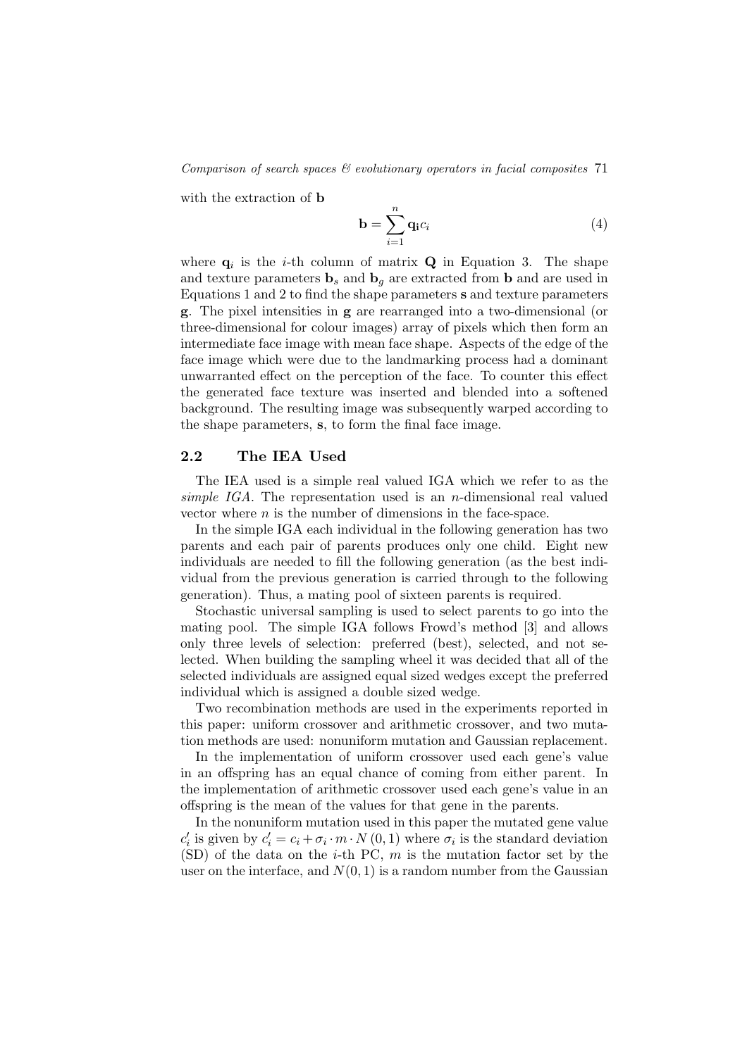with the extraction of b

$$
\mathbf{b} = \sum_{i=1}^{n} \mathbf{q}_i c_i \tag{4}
$$

where  $\mathbf{q}_i$  is the *i*-th column of matrix **Q** in Equation 3. The shape and texture parameters  $\mathbf{b}_s$  and  $\mathbf{b}_q$  are extracted from **b** and are used in Equations 1 and 2 to find the shape parameters s and texture parameters g. The pixel intensities in g are rearranged into a two-dimensional (or three-dimensional for colour images) array of pixels which then form an intermediate face image with mean face shape. Aspects of the edge of the face image which were due to the landmarking process had a dominant unwarranted effect on the perception of the face. To counter this effect the generated face texture was inserted and blended into a softened background. The resulting image was subsequently warped according to the shape parameters, s, to form the final face image.

#### 2.2 The IEA Used

The IEA used is a simple real valued IGA which we refer to as the simple IGA. The representation used is an n-dimensional real valued vector where  $n$  is the number of dimensions in the face-space.

In the simple IGA each individual in the following generation has two parents and each pair of parents produces only one child. Eight new individuals are needed to fill the following generation (as the best individual from the previous generation is carried through to the following generation). Thus, a mating pool of sixteen parents is required.

Stochastic universal sampling is used to select parents to go into the mating pool. The simple IGA follows Frowd's method [3] and allows only three levels of selection: preferred (best), selected, and not selected. When building the sampling wheel it was decided that all of the selected individuals are assigned equal sized wedges except the preferred individual which is assigned a double sized wedge.

Two recombination methods are used in the experiments reported in this paper: uniform crossover and arithmetic crossover, and two mutation methods are used: nonuniform mutation and Gaussian replacement.

In the implementation of uniform crossover used each gene's value in an offspring has an equal chance of coming from either parent. In the implementation of arithmetic crossover used each gene's value in an offspring is the mean of the values for that gene in the parents.

In the nonuniform mutation used in this paper the mutated gene value  $c'_i$  is given by  $c'_i = c_i + \sigma_i \cdot m \cdot N(0, 1)$  where  $\sigma_i$  is the standard deviation (SD) of the data on the *i*-th PC, m is the mutation factor set by the user on the interface, and  $N(0, 1)$  is a random number from the Gaussian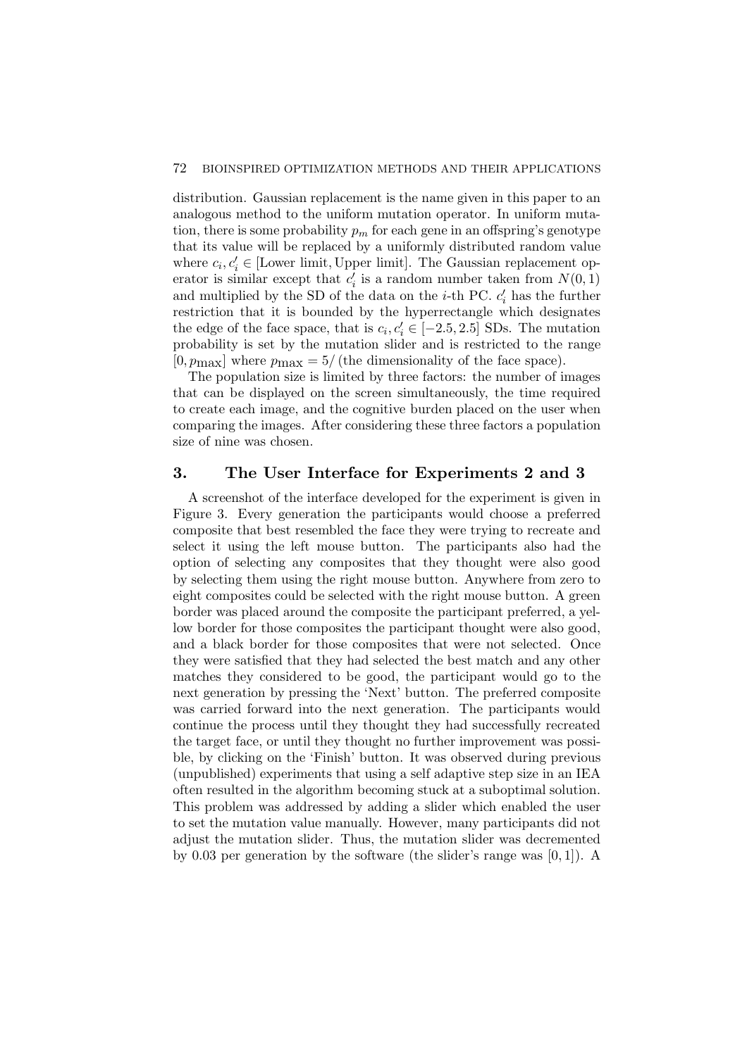distribution. Gaussian replacement is the name given in this paper to an analogous method to the uniform mutation operator. In uniform mutation, there is some probability  $p_m$  for each gene in an offspring's genotype that its value will be replaced by a uniformly distributed random value where  $c_i, c'_i \in$  [Lower limit, Upper limit]. The Gaussian replacement operator is similar except that  $c'_i$  is a random number taken from  $N(0, 1)$ and multiplied by the SD of the data on the *i*-th PC.  $c_i'$  has the further restriction that it is bounded by the hyperrectangle which designates the edge of the face space, that is  $c_i, c'_i \in [-2.5, 2.5]$  SDs. The mutation probability is set by the mutation slider and is restricted to the range  $[0, p_{\text{max}}]$  where  $p_{\text{max}} = 5/$  (the dimensionality of the face space).

The population size is limited by three factors: the number of images that can be displayed on the screen simultaneously, the time required to create each image, and the cognitive burden placed on the user when comparing the images. After considering these three factors a population size of nine was chosen.

## 3. The User Interface for Experiments 2 and 3

A screenshot of the interface developed for the experiment is given in Figure 3. Every generation the participants would choose a preferred composite that best resembled the face they were trying to recreate and select it using the left mouse button. The participants also had the option of selecting any composites that they thought were also good by selecting them using the right mouse button. Anywhere from zero to eight composites could be selected with the right mouse button. A green border was placed around the composite the participant preferred, a yellow border for those composites the participant thought were also good, and a black border for those composites that were not selected. Once they were satisfied that they had selected the best match and any other matches they considered to be good, the participant would go to the next generation by pressing the 'Next' button. The preferred composite was carried forward into the next generation. The participants would continue the process until they thought they had successfully recreated the target face, or until they thought no further improvement was possible, by clicking on the 'Finish' button. It was observed during previous (unpublished) experiments that using a self adaptive step size in an IEA often resulted in the algorithm becoming stuck at a suboptimal solution. This problem was addressed by adding a slider which enabled the user to set the mutation value manually. However, many participants did not adjust the mutation slider. Thus, the mutation slider was decremented by 0.03 per generation by the software (the slider's range was [0, 1]). A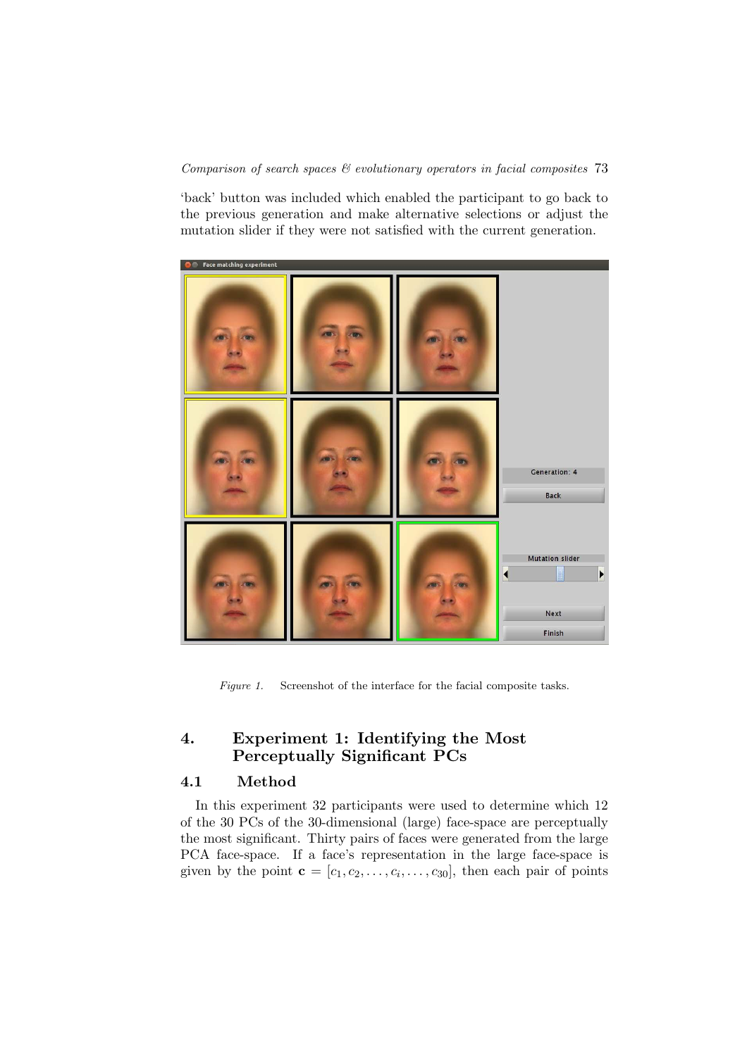Comparison of search spaces  $\mathcal B$  evolutionary operators in facial composites 73

'back' button was included which enabled the participant to go back to the previous generation and make alternative selections or adjust the mutation slider if they were not satisfied with the current generation.



Figure 1. Screenshot of the interface for the facial composite tasks.

# 4. Experiment 1: Identifying the Most Perceptually Significant PCs

# 4.1 Method

In this experiment 32 participants were used to determine which 12 of the 30 PCs of the 30-dimensional (large) face-space are perceptually the most significant. Thirty pairs of faces were generated from the large PCA face-space. If a face's representation in the large face-space is given by the point  $\mathbf{c} = [c_1, c_2, \dots, c_i, \dots, c_{30}]$ , then each pair of points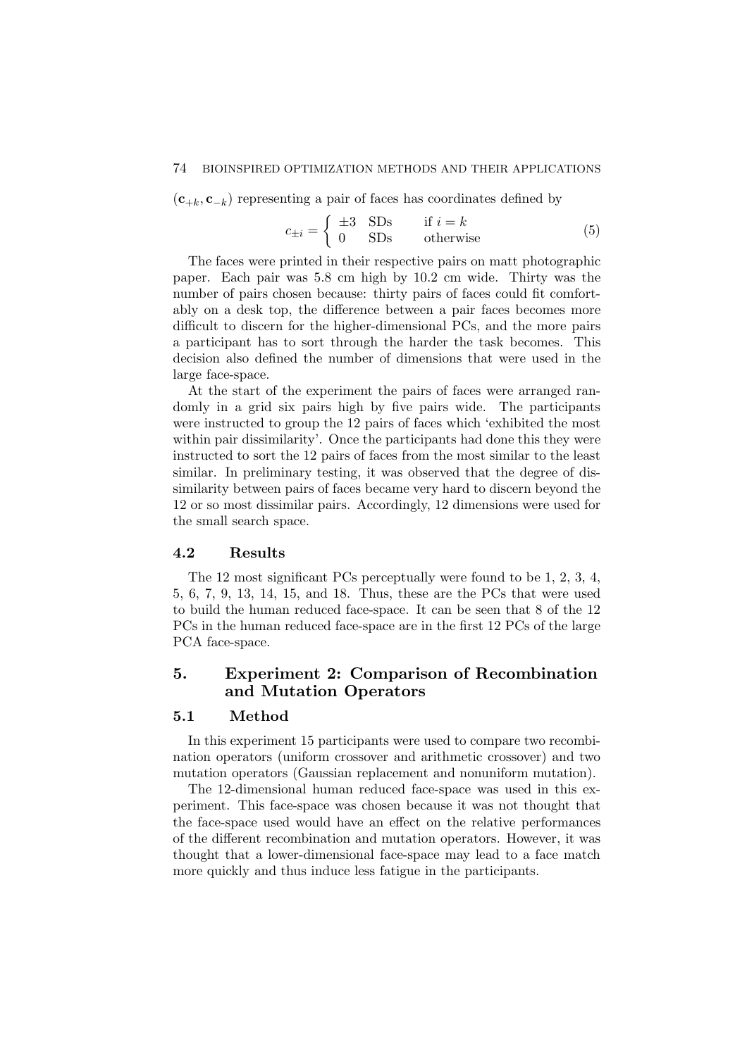$(c_{+k}, c_{-k})$  representing a pair of faces has coordinates defined by

$$
c_{\pm i} = \begin{cases} \pm 3 & \text{SDs} \\ 0 & \text{SDs} \end{cases} \quad \text{if } i = k \tag{5}
$$

The faces were printed in their respective pairs on matt photographic paper. Each pair was 5.8 cm high by 10.2 cm wide. Thirty was the number of pairs chosen because: thirty pairs of faces could fit comfortably on a desk top, the difference between a pair faces becomes more difficult to discern for the higher-dimensional PCs, and the more pairs a participant has to sort through the harder the task becomes. This decision also defined the number of dimensions that were used in the large face-space.

At the start of the experiment the pairs of faces were arranged randomly in a grid six pairs high by five pairs wide. The participants were instructed to group the 12 pairs of faces which 'exhibited the most within pair dissimilarity'. Once the participants had done this they were instructed to sort the 12 pairs of faces from the most similar to the least similar. In preliminary testing, it was observed that the degree of dissimilarity between pairs of faces became very hard to discern beyond the 12 or so most dissimilar pairs. Accordingly, 12 dimensions were used for the small search space.

### 4.2 Results

The 12 most significant PCs perceptually were found to be 1, 2, 3, 4, 5, 6, 7, 9, 13, 14, 15, and 18. Thus, these are the PCs that were used to build the human reduced face-space. It can be seen that 8 of the 12 PCs in the human reduced face-space are in the first 12 PCs of the large PCA face-space.

# 5. Experiment 2: Comparison of Recombination and Mutation Operators

#### 5.1 Method

In this experiment 15 participants were used to compare two recombination operators (uniform crossover and arithmetic crossover) and two mutation operators (Gaussian replacement and nonuniform mutation).

The 12-dimensional human reduced face-space was used in this experiment. This face-space was chosen because it was not thought that the face-space used would have an effect on the relative performances of the different recombination and mutation operators. However, it was thought that a lower-dimensional face-space may lead to a face match more quickly and thus induce less fatigue in the participants.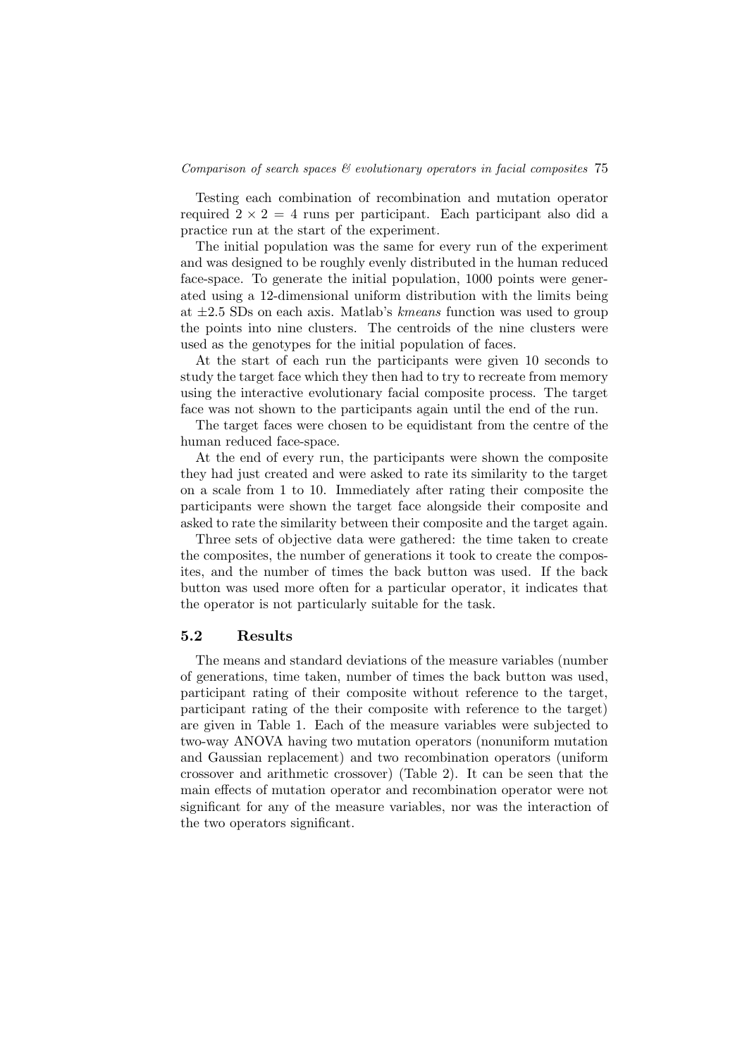Testing each combination of recombination and mutation operator required  $2 \times 2 = 4$  runs per participant. Each participant also did a practice run at the start of the experiment.

The initial population was the same for every run of the experiment and was designed to be roughly evenly distributed in the human reduced face-space. To generate the initial population, 1000 points were generated using a 12-dimensional uniform distribution with the limits being at  $\pm 2.5$  SDs on each axis. Matlab's *kmeans* function was used to group the points into nine clusters. The centroids of the nine clusters were used as the genotypes for the initial population of faces.

At the start of each run the participants were given 10 seconds to study the target face which they then had to try to recreate from memory using the interactive evolutionary facial composite process. The target face was not shown to the participants again until the end of the run.

The target faces were chosen to be equidistant from the centre of the human reduced face-space.

At the end of every run, the participants were shown the composite they had just created and were asked to rate its similarity to the target on a scale from 1 to 10. Immediately after rating their composite the participants were shown the target face alongside their composite and asked to rate the similarity between their composite and the target again.

Three sets of objective data were gathered: the time taken to create the composites, the number of generations it took to create the composites, and the number of times the back button was used. If the back button was used more often for a particular operator, it indicates that the operator is not particularly suitable for the task.

## 5.2 Results

The means and standard deviations of the measure variables (number of generations, time taken, number of times the back button was used, participant rating of their composite without reference to the target, participant rating of the their composite with reference to the target) are given in Table 1. Each of the measure variables were subjected to two-way ANOVA having two mutation operators (nonuniform mutation and Gaussian replacement) and two recombination operators (uniform crossover and arithmetic crossover) (Table 2). It can be seen that the main effects of mutation operator and recombination operator were not significant for any of the measure variables, nor was the interaction of the two operators significant.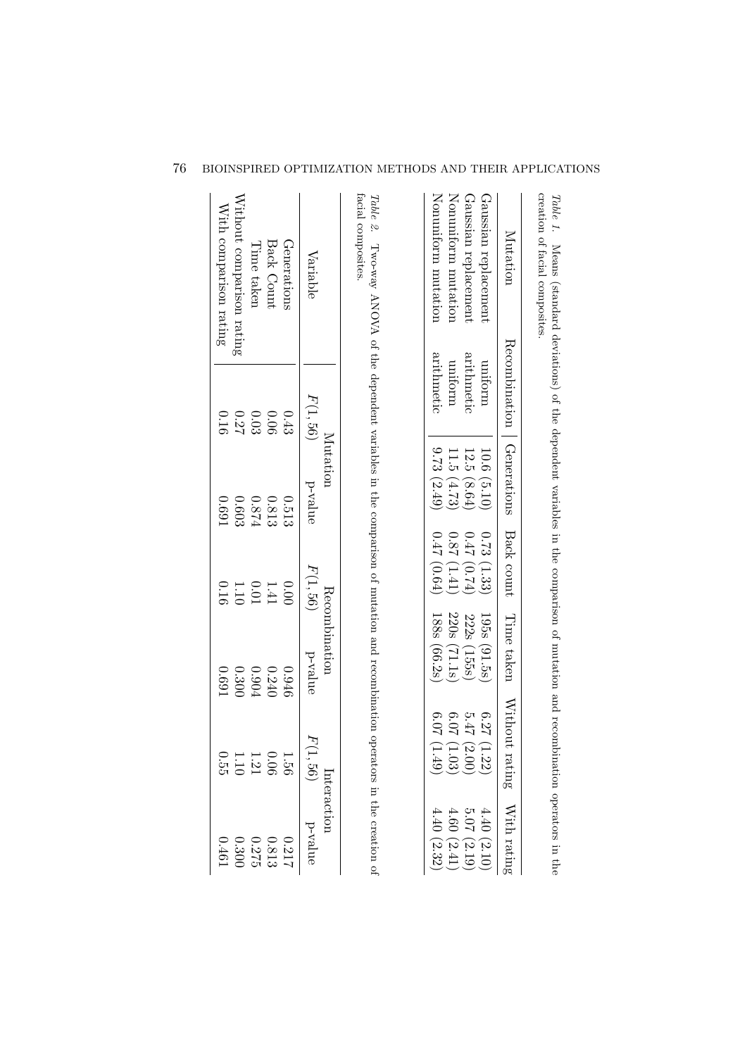| Mutation                                                                                                                                                    | Recombination Generations Back count Time taken Without |             |                           |              | rating                                                                                          | With rating                      |
|-------------------------------------------------------------------------------------------------------------------------------------------------------------|---------------------------------------------------------|-------------|---------------------------|--------------|-------------------------------------------------------------------------------------------------|----------------------------------|
| Gaussian replacement                                                                                                                                        | uniform                                                 | 10.6 (5.10) | 0.73(1.33)                | 195s (91.5s) |                                                                                                 | 4.40(2.10)                       |
| Gaussian replacement                                                                                                                                        | arithmetic                                              | 12.5 (8.64) | 0.47(0.74)                | 222s (155s)  | $\begin{array}{c} 6.27 \ (1.22) \\ 5.47 \ (2.00) \\ 6.07 \ (1.03) \\ 6.07 \ (1.49) \end{array}$ |                                  |
| Nonuniform mutation                                                                                                                                         | uniform                                                 | 11.5 (4.73) | 0.87(1.41)                | 220s (71.1s) |                                                                                                 |                                  |
| Nonunform mutation                                                                                                                                          | arithmetic                                              | 0.73(2.49)  | $0.47(0.64)$ 188s (66.2s) |              |                                                                                                 | $5.07(2.19)4.60(2.41)4.40(2.32)$ |
|                                                                                                                                                             |                                                         |             |                           |              |                                                                                                 |                                  |
| facial composites.<br>players. Five-way ANOVA of the dependent variance of the comparison of the dependence of the control of $\sim$ Dividuation and $\sim$ |                                                         |             |                           |              |                                                                                                 | rators in the creation of        |
|                                                                                                                                                             |                                                         |             |                           |              |                                                                                                 |                                  |

*Table 1.* Means (standard deviations) of the dependent variables in the comparison of mutation and recombination operators in the creation of facial composites.

| With comparison rating | $N$ ithou<br>comparison ratin                                   | Time taken | Back Coun                                                                     | Generation | Variable |                  |  |
|------------------------|-----------------------------------------------------------------|------------|-------------------------------------------------------------------------------|------------|----------|------------------|--|
|                        |                                                                 |            | $\begin{array}{c} 0.43 \\ 0.06 \\ 0.03 \\ 0.27 \\ 0.04 \\ \hline \end{array}$ |            | F(1, 56) |                  |  |
|                        | $0.874$<br>0.603<br>0.691                                       |            | $0.513$<br>$0.813$                                                            |            | p-value  | Mutation         |  |
|                        |                                                                 |            | $\begin{array}{c} 0.00 \\ 1.41 \\ 0.01 \\ 0.16 \end{array}$                   |            | F(1, 56) | Recombination    |  |
|                        | $\begin{array}{c} 0.240 \\ 0.904 \\ 0.300 \\ 0.691 \end{array}$ |            |                                                                               | 0.946      | b-value  |                  |  |
| )<br>एउ                | 1.10                                                            | $1.21\,$   | $1.56$<br>0.06                                                                |            | 1,56)    | <b>Interacti</b> |  |
| 0.461                  | 0.300                                                           | $0.275$    | 0.813                                                                         | 0.217      | p-value  |                  |  |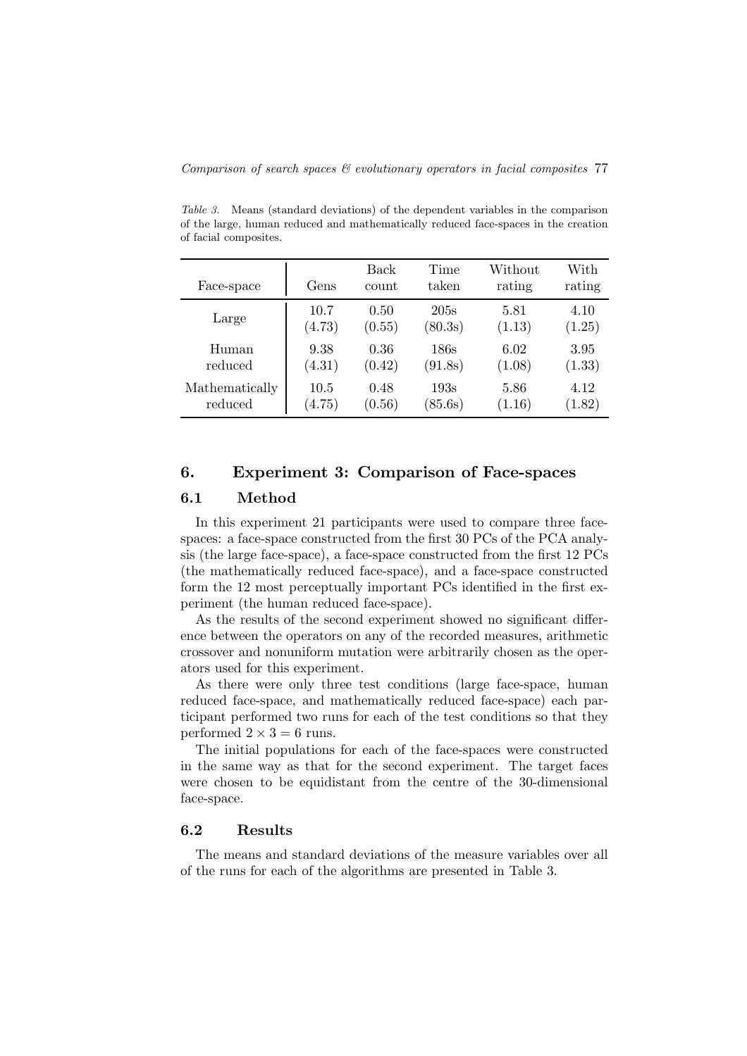Table 3. Means (standard deviations) of the dependent variables in the comparison of the large, human reduced and mathematically reduced face-spaces in the creation of facial composites.

| Face-space     | Gens   | Back<br>count | Time<br>taken | Without<br>rating | With<br>rating |
|----------------|--------|---------------|---------------|-------------------|----------------|
| Large          | 10.7   | 0.50          | 205s          | 5.81              | 4.10           |
|                | (4.73) | (0.55)        | (80.3s)       | (1.13)            | (1.25)         |
| Human          | 9.38   | 0.36          | 186s          | 6.02              | 3.95           |
| reduced        | (4.31) | (0.42)        | (91.8s)       | (1.08)            | (1.33)         |
| Mathematically | 10.5   | 0.48          | 193s          | 5.86              | 4.12           |
| reduced        | (4.75) | (0.56)        | (85.6s)       | (1.16)            | (1.82)         |

# 6. Experiment 3: Comparison of Face-spaces

# 6.1 Method

In this experiment 21 participants were used to compare three facespaces: a face-space constructed from the first 30 PCs of the PCA analysis (the large face-space), a face-space constructed from the first 12 PCs (the mathematically reduced face-space), and a face-space constructed form the 12 most perceptually important PCs identified in the first experiment (the human reduced face-space).

As the results of the second experiment showed no significant difference between the operators on any of the recorded measures, arithmetic crossover and nonuniform mutation were arbitrarily chosen as the operators used for this experiment.

As there were only three test conditions (large face-space, human reduced face-space, and mathematically reduced face-space) each participant performed two runs for each of the test conditions so that they performed  $2 \times 3 = 6$  runs.

The initial populations for each of the face-spaces were constructed in the same way as that for the second experiment. The target faces were chosen to be equidistant from the centre of the 30-dimensional face-space.

# 6.2 Results

The means and standard deviations of the measure variables over all of the runs for each of the algorithms are presented in Table 3.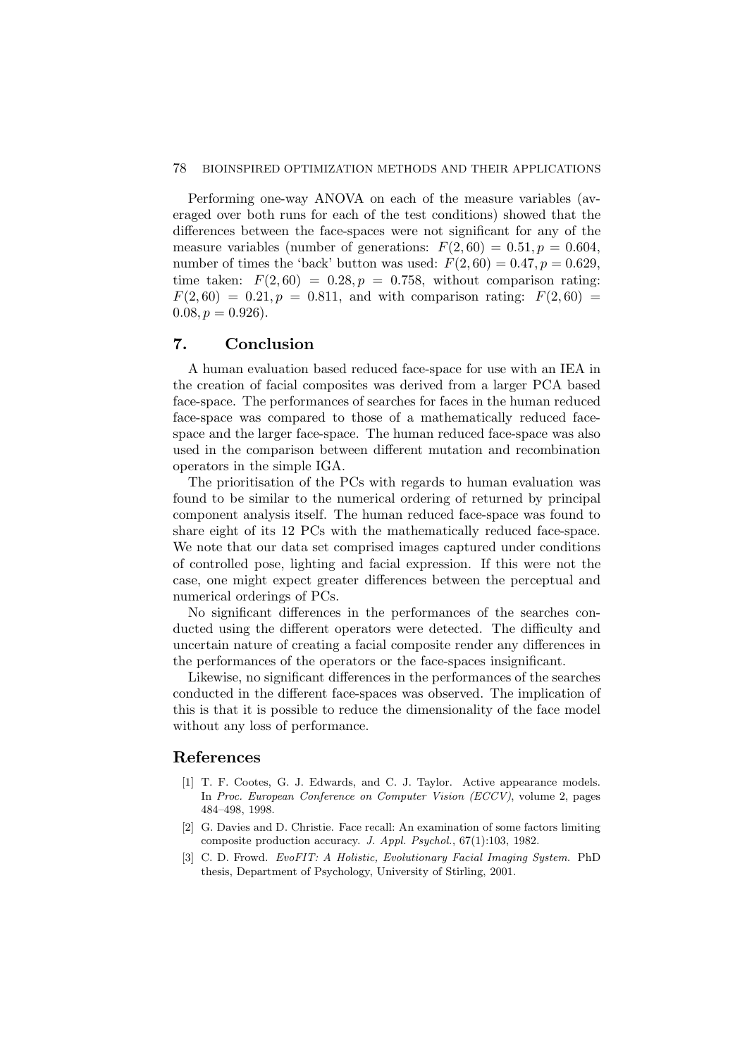Performing one-way ANOVA on each of the measure variables (averaged over both runs for each of the test conditions) showed that the differences between the face-spaces were not significant for any of the measure variables (number of generations:  $F(2, 60) = 0.51, p = 0.604$ , number of times the 'back' button was used:  $F(2, 60) = 0.47, p = 0.629$ , time taken:  $F(2, 60) = 0.28, p = 0.758$ , without comparison rating:  $F(2, 60) = 0.21, p = 0.811$ , and with comparison rating:  $F(2, 60) =$  $0.08, p = 0.926$ .

## 7. Conclusion

A human evaluation based reduced face-space for use with an IEA in the creation of facial composites was derived from a larger PCA based face-space. The performances of searches for faces in the human reduced face-space was compared to those of a mathematically reduced facespace and the larger face-space. The human reduced face-space was also used in the comparison between different mutation and recombination operators in the simple IGA.

The prioritisation of the PCs with regards to human evaluation was found to be similar to the numerical ordering of returned by principal component analysis itself. The human reduced face-space was found to share eight of its 12 PCs with the mathematically reduced face-space. We note that our data set comprised images captured under conditions of controlled pose, lighting and facial expression. If this were not the case, one might expect greater differences between the perceptual and numerical orderings of PCs.

No significant differences in the performances of the searches conducted using the different operators were detected. The difficulty and uncertain nature of creating a facial composite render any differences in the performances of the operators or the face-spaces insignificant.

Likewise, no significant differences in the performances of the searches conducted in the different face-spaces was observed. The implication of this is that it is possible to reduce the dimensionality of the face model without any loss of performance.

#### References

- [1] T. F. Cootes, G. J. Edwards, and C. J. Taylor. Active appearance models. In Proc. European Conference on Computer Vision (ECCV), volume 2, pages 484–498, 1998.
- [2] G. Davies and D. Christie. Face recall: An examination of some factors limiting composite production accuracy. J. Appl. Psychol., 67(1):103, 1982.
- [3] C. D. Frowd. EvoFIT: A Holistic, Evolutionary Facial Imaging System. PhD thesis, Department of Psychology, University of Stirling, 2001.